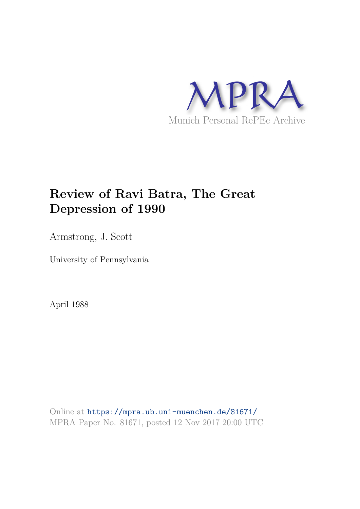

## **Review of Ravi Batra, The Great Depression of 1990**

Armstrong, J. Scott

University of Pennsylvania

April 1988

Online at https://mpra.ub.uni-muenchen.de/81671/ MPRA Paper No. 81671, posted 12 Nov 2017 20:00 UTC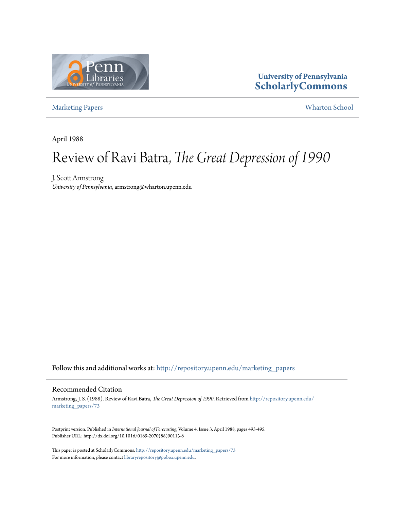

### **University of Pennsylvania ScholarlyCommons**

Marketing Papers Wharton School

April 1988

# Review of Ravi Batra, *The Great Depression of 1990*

J. Scott Armstrong *University of Pennsylvania*, armstrong@wharton.upenn.edu

Follow this and additional works at: http://repository.upenn.edu/marketing\_papers

#### Recommended Citation

Armstrong, J. S. (1988). Review of Ravi Batra, *The Great Depression of 1990*. Retrieved from http://repository.upenn.edu/ marketing\_papers/73

Postprint version. Published in *International Journal of Forecasting*, Volume 4, Issue 3, April 1988, pages 493-495. Publisher URL: http://dx.doi.org/10.1016/0169-2070(88)90113-6

This paper is posted at ScholarlyCommons. http://repository.upenn.edu/marketing\_papers/73 For more information, please contact libraryrepository@pobox.upenn.edu.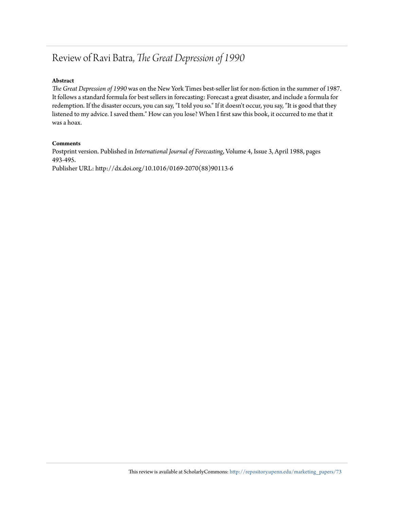### Review of Ravi Batra, *The Great Depression of 1990*

### **Abstract**

*The Great Depression of 1990* was on the New York Times best-seller list for non-fiction in the summer of 1987. It follows a standard formula for best sellers in forecasting: Forecast a great disaster, and include a formula for redemption. If the disaster occurs, you can say, "I told you so." If it doesn't occur, you say, "It is good that they listened to my advice. I saved them." How can you lose? When I first saw this book, it occurred to me that it was a hoax.

#### **Comments**

Postprint version. Published in *International Journal of Forecasting*, Volume 4, Issue 3, April 1988, pages 493-495.

Publisher URL: http://dx.doi.org/10.1016/0169-2070(88)90113-6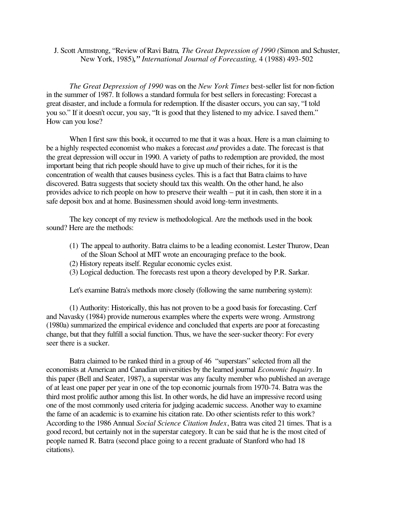J. Scott Armstrong, "Review of Ravi Batra, *The Great Depression of 1990 (Simon and Schuster*, New York, 1985)*," International Journal of Forecasting,* 4 (1988) 493-502

*The Great Depression of 1990* was on the *New York Times* best-seller list for non-fiction in the summer of 1987. It follows a standard formula for best sellers in forecasting: Forecast a great disaster, and include a formula for redemption. If the disaster occurs, you can say, "I told you so." If it doesn't occur, you say, "It is good that they listened to my advice. I saved them." How can you lose?

When I first saw this book, it occurred to me that it was a hoax. Here is a man claiming to be a highly respected economist who makes a forecast *and* provides a date. The forecast is that the great depression will occur in 1990. A variety of paths to redemption are provided, the most important being that rich people should have to give up much of their riches, for it is the concentration of wealth that causes business cycles. This is a fact that Batra claims to have discovered. Batra suggests that society should tax this wealth. On the other hand, he also provides advice to rich people on how to preserve their wealth – put it in cash, then store it in a safe deposit box and at home. Businessmen should avoid long-term investments.

The key concept of my review is methodological. Are the methods used in the book sound? Here are the methods:

- (1) The appeal to authority. Batra claims to be a leading economist. Lester Thurow, Dean of the Sloan School at MIT wrote an encouraging preface to the book.
- (2) History repeats itself. Regular economic cycles exist.
- (3) Logical deduction. The forecasts rest upon a theory developed by P.R. Sarkar.

Let's examine Batra's methods more closely (following the same numbering system):

(1) Authority: Historically, this has not proven to be a good basis for forecasting. Cerf and Navasky (1984) provide numerous examples where the experts were wrong. Armstrong (1980a) summarized the empirical evidence and concluded that experts are poor at forecasting change, but that they fulfill a social function. Thus, we have the seer-sucker theory: For every seer there is a sucker.

Batra claimed to be ranked third in a group of 46 "superstars" selected from all the economists at American and Canadian universities by the learned journal *Economic Inquiry*. In this paper (Bell and Seater, 1987), a superstar was any faculty member who published an average of at least one paper per year in one of the top economic journals from 1970-74. Batra was the third most prolific author among this list. In other words, he did have an impressive record using one of the most commonly used criteria for judging academic success. Another way to examine the fame of an academic is to examine his citation rate. Do other scientists refer to this work? According to the 1986 Annual *Social Science Citation Index*, Batra was cited 21 times. That is a good record, but certainly not in the superstar category. It can be said that he is the most cited of people named R. Batra (second place going to a recent graduate of Stanford who had 18 citations).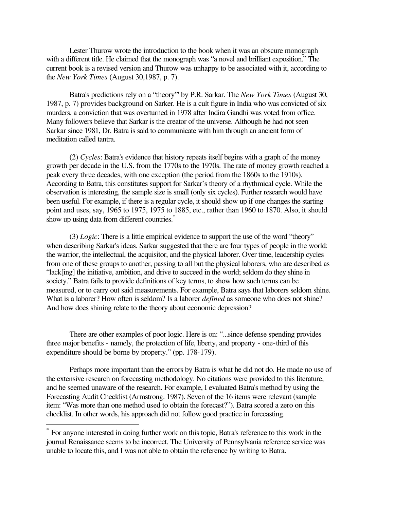Lester Thurow wrote the introduction to the book when it was an obscure monograph with a different title. He claimed that the monograph was "a novel and brilliant exposition." The current book is a revised version and Thurow was unhappy to be associated with it, according to the *New York Times* (August 30,1987, p. 7).

Batra's predictions rely on a "theory"' by P.R. Sarkar. The *New York Times* (August 30, 1987, p. 7) provides background on Sarker. He is a cult figure in India who was convicted of six murders, a conviction that was overturned in 1978 after Indira Gandhi was voted from office. Many followers believe that Sarkar is the creator of the universe. Although he had not seen Sarkar since 1981, Dr. Batra is said to communicate with him through an ancient form of meditation called tantra.

(2) *Cycles*: Batra's evidence that history repeats itself begins with a graph of the money growth per decade in the U.S. from the 1770s to the 1970s. The rate of money growth reached a peak every three decades, with one exception (the period from the 1860s to the 1910s). According to Batra, this constitutes support for Sarkar's theory of a rhythmical cycle. While the observation is interesting, the sample size is small (only six cycles). Further research would have been useful. For example, if there is a regular cycle, it should show up if one changes the starting point and uses, say, 1965 to 1975, 1975 to 1885, etc., rather than 1960 to 1870. Also, it should show up using data from different countries.<sup>\*</sup>

(3) *Logic*: There is a little empirical evidence to support the use of the word "theory" when describing Sarkar's ideas. Sarkar suggested that there are four types of people in the world: the warrior, the intellectual, the acquisitor, and the physical laborer. Over time, leadership cycles from one of these groups to another, passing to all but the physical laborers, who are described as "lack[ing] the initiative, ambition, and drive to succeed in the world; seldom do they shine in society." Batra fails to provide definitions of key terms, to show how such terms can be measured, or to carry out said measurements. For example, Batra says that laborers seldom shine. What is a laborer? How often is seldom? Is a laborer *defined* as someone who does not shine? And how does shining relate to the theory about economic depression?

There are other examples of poor logic. Here is on: "...since defense spending provides three major benefits - namely, the protection of life, liberty, and property - one-third of this expenditure should be borne by property." (pp. 178-179).

Perhaps more important than the errors by Batra is what he did not do. He made no use of the extensive research on forecasting methodology. No citations were provided to this literature, and he seemed unaware of the research. For example, I evaluated Batra's method by using the Forecasting Audit Checklist (Armstrong. 1987). Seven of the 16 items were relevant (sample item: "Was more than one method used to obtain the forecast?"). Batra scored a zero on this checklist. In other words, his approach did not follow good practice in forecasting.

 $\overline{a}$ 

<sup>\*</sup> For anyone interested in doing further work on this topic, Batra's reference to this work in the journal Renaissance seems to be incorrect. The University of Pennsylvania reference service was unable to locate this, and I was not able to obtain the reference by writing to Batra.